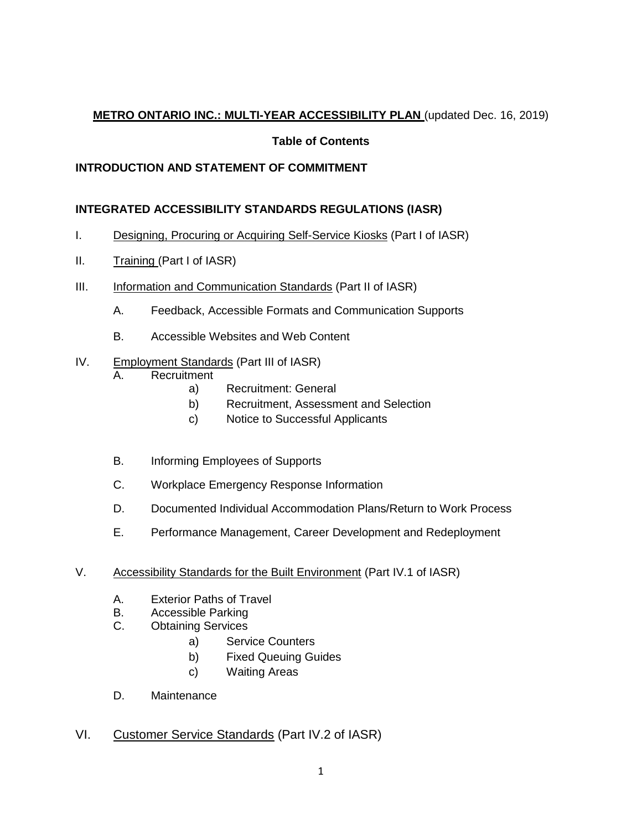# **METRO ONTARIO INC.: MULTI-YEAR ACCESSIBILITY PLAN** (updated Dec. 16, 2019)

## **Table of Contents**

# **INTRODUCTION AND STATEMENT OF COMMITMENT**

# **INTEGRATED ACCESSIBILITY STANDARDS REGULATIONS (IASR)**

- I. Designing, Procuring or Acquiring Self-Service Kiosks (Part I of IASR)
- II. Training (Part I of IASR)
- III. Information and Communication Standards (Part II of IASR)
	- A. Feedback, Accessible Formats and Communication Supports
	- B. Accessible Websites and Web Content
- IV. Employment Standards (Part III of IASR)
	- A. Recruitment
		- a) Recruitment: General
		- b) Recruitment, Assessment and Selection
		- c) Notice to Successful Applicants
	- B. Informing Employees of Supports
	- C. Workplace Emergency Response Information
	- D. Documented Individual Accommodation Plans/Return to Work Process
	- E. Performance Management, Career Development and Redeployment
- V. Accessibility Standards for the Built Environment (Part IV.1 of IASR)
	- A. Exterior Paths of Travel
	- B. Accessible Parking
	- C. Obtaining Services
		- a) Service Counters
		- b) Fixed Queuing Guides
		- c) Waiting Areas
	- D. Maintenance
- VI. Customer Service Standards (Part IV.2 of IASR)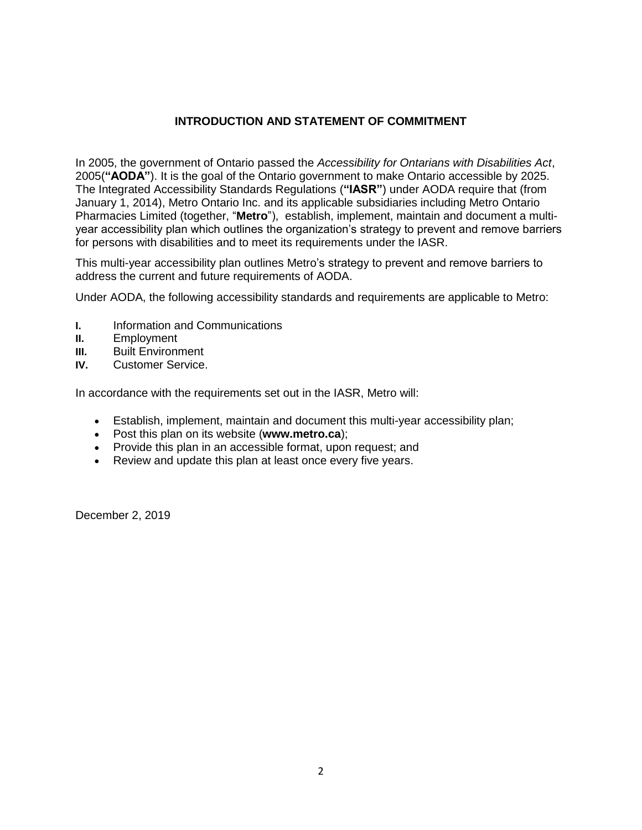## **INTRODUCTION AND STATEMENT OF COMMITMENT**

In 2005, the government of Ontario passed the *Accessibility for Ontarians with Disabilities Act*, 2005(**"AODA"**). It is the goal of the Ontario government to make Ontario accessible by 2025. The Integrated Accessibility Standards Regulations (**"IASR"**) under AODA require that (from January 1, 2014), Metro Ontario Inc. and its applicable subsidiaries including Metro Ontario Pharmacies Limited (together, "**Metro**"), establish, implement, maintain and document a multiyear accessibility plan which outlines the organization's strategy to prevent and remove barriers for persons with disabilities and to meet its requirements under the IASR.

This multi-year accessibility plan outlines Metro's strategy to prevent and remove barriers to address the current and future requirements of AODA.

Under AODA, the following accessibility standards and requirements are applicable to Metro:

- **I.** Information and Communications
- **II.** Employment
- **III.** Built Environment
- **IV.** Customer Service.

In accordance with the requirements set out in the IASR, Metro will:

- Establish, implement, maintain and document this multi-year accessibility plan;
- Post this plan on its website (**www.metro.ca**);
- Provide this plan in an accessible format, upon request; and
- Review and update this plan at least once every five years.

December 2, 2019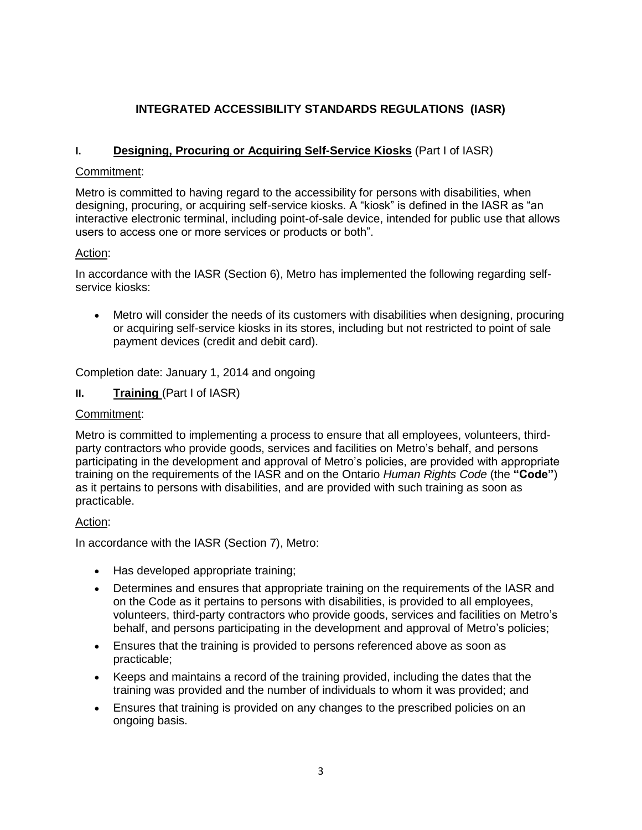# **INTEGRATED ACCESSIBILITY STANDARDS REGULATIONS (IASR)**

## **I. Designing, Procuring or Acquiring Self-Service Kiosks** (Part I of IASR)

#### Commitment:

Metro is committed to having regard to the accessibility for persons with disabilities, when designing, procuring, or acquiring self-service kiosks. A "kiosk" is defined in the IASR as "an interactive electronic terminal, including point-of-sale device, intended for public use that allows users to access one or more services or products or both".

#### Action:

In accordance with the IASR (Section 6), Metro has implemented the following regarding selfservice kiosks:

 Metro will consider the needs of its customers with disabilities when designing, procuring or acquiring self-service kiosks in its stores, including but not restricted to point of sale payment devices (credit and debit card).

Completion date: January 1, 2014 and ongoing

**II. Training** (Part I of IASR)

#### Commitment:

Metro is committed to implementing a process to ensure that all employees, volunteers, thirdparty contractors who provide goods, services and facilities on Metro's behalf, and persons participating in the development and approval of Metro's policies, are provided with appropriate training on the requirements of the IASR and on the Ontario *Human Rights Code* (the **"Code"**) as it pertains to persons with disabilities, and are provided with such training as soon as practicable.

#### Action:

In accordance with the IASR (Section 7), Metro:

- Has developed appropriate training;
- Determines and ensures that appropriate training on the requirements of the IASR and on the Code as it pertains to persons with disabilities, is provided to all employees, volunteers, third-party contractors who provide goods, services and facilities on Metro's behalf, and persons participating in the development and approval of Metro's policies;
- Ensures that the training is provided to persons referenced above as soon as practicable;
- Keeps and maintains a record of the training provided, including the dates that the training was provided and the number of individuals to whom it was provided; and
- Ensures that training is provided on any changes to the prescribed policies on an ongoing basis.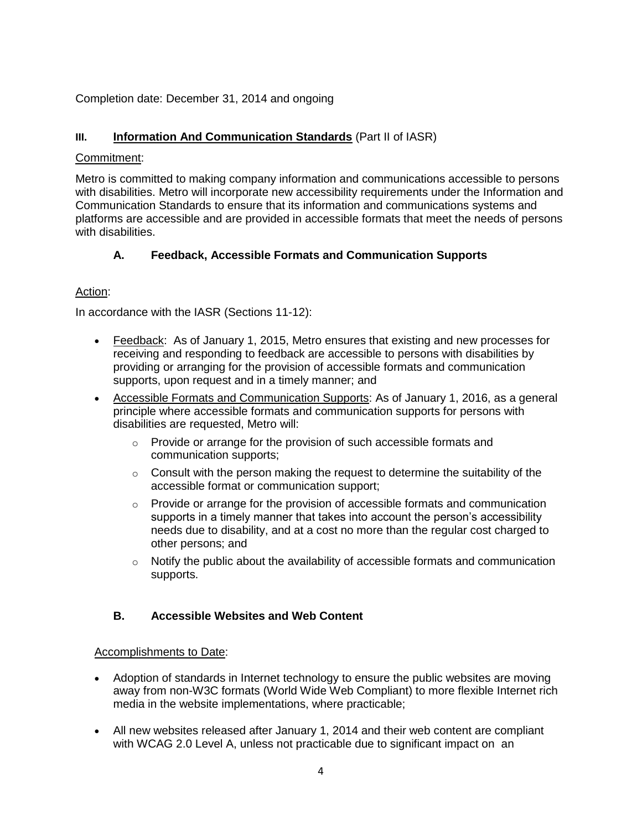## Completion date: December 31, 2014 and ongoing

## **III. Information And Communication Standards** (Part II of IASR)

#### Commitment:

Metro is committed to making company information and communications accessible to persons with disabilities. Metro will incorporate new accessibility requirements under the Information and Communication Standards to ensure that its information and communications systems and platforms are accessible and are provided in accessible formats that meet the needs of persons with disabilities.

## **A. Feedback, Accessible Formats and Communication Supports**

## Action:

In accordance with the IASR (Sections 11-12):

- Feedback: As of January 1, 2015, Metro ensures that existing and new processes for receiving and responding to feedback are accessible to persons with disabilities by providing or arranging for the provision of accessible formats and communication supports, upon request and in a timely manner; and
- Accessible Formats and Communication Supports: As of January 1, 2016, as a general principle where accessible formats and communication supports for persons with disabilities are requested, Metro will:
	- o Provide or arrange for the provision of such accessible formats and communication supports;
	- $\circ$  Consult with the person making the request to determine the suitability of the accessible format or communication support;
	- $\circ$  Provide or arrange for the provision of accessible formats and communication supports in a timely manner that takes into account the person's accessibility needs due to disability, and at a cost no more than the regular cost charged to other persons; and
	- $\circ$  Notify the public about the availability of accessible formats and communication supports.

# **B. Accessible Websites and Web Content**

#### Accomplishments to Date:

- Adoption of standards in Internet technology to ensure the public websites are moving away from non-W3C formats (World Wide Web Compliant) to more flexible Internet rich media in the website implementations, where practicable;
- All new websites released after January 1, 2014 and their web content are compliant with WCAG 2.0 Level A, unless not practicable due to significant impact on an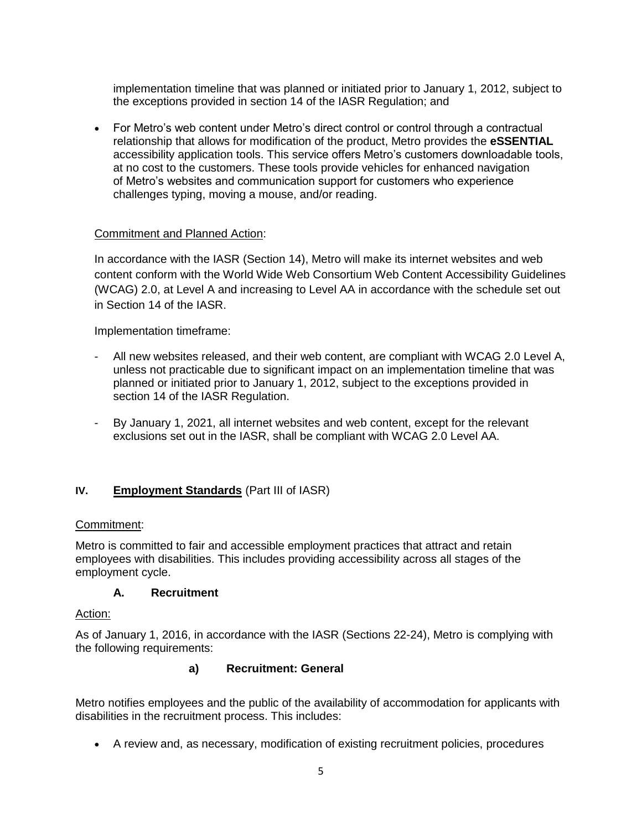implementation timeline that was planned or initiated prior to January 1, 2012, subject to the exceptions provided in section 14 of the IASR Regulation; and

 For Metro's web content under Metro's direct control or control through a contractual relationship that allows for modification of the product, Metro provides the **eSSENTIAL** accessibility application tools. This service offers Metro's customers downloadable tools, at no cost to the customers. These tools provide vehicles for enhanced navigation of Metro's websites and communication support for customers who experience challenges typing, moving a mouse, and/or reading.

#### Commitment and Planned Action:

In accordance with the IASR (Section 14), Metro will make its internet websites and web content conform with the World Wide Web Consortium Web Content Accessibility Guidelines (WCAG) 2.0, at Level A and increasing to Level AA in accordance with the schedule set out in Section 14 of the IASR.

Implementation timeframe:

- All new websites released, and their web content, are compliant with WCAG 2.0 Level A, unless not practicable due to significant impact on an implementation timeline that was planned or initiated prior to January 1, 2012, subject to the exceptions provided in section 14 of the IASR Regulation.
- By January 1, 2021, all internet websites and web content, except for the relevant exclusions set out in the IASR, shall be compliant with WCAG 2.0 Level AA.

#### **IV. Employment Standards** (Part III of IASR)

#### Commitment:

Metro is committed to fair and accessible employment practices that attract and retain employees with disabilities. This includes providing accessibility across all stages of the employment cycle.

#### **A. Recruitment**

#### Action:

As of January 1, 2016, in accordance with the IASR (Sections 22-24), Metro is complying with the following requirements:

## **a) Recruitment: General**

Metro notifies employees and the public of the availability of accommodation for applicants with disabilities in the recruitment process. This includes:

A review and, as necessary, modification of existing recruitment policies, procedures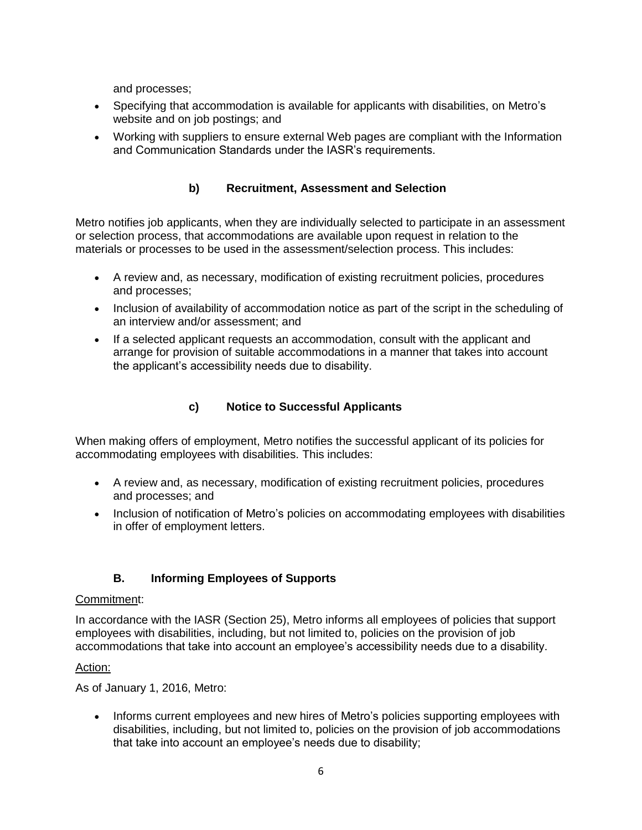and processes;

- Specifying that accommodation is available for applicants with disabilities, on Metro's website and on job postings; and
- Working with suppliers to ensure external Web pages are compliant with the Information and Communication Standards under the IASR's requirements.

# **b) Recruitment, Assessment and Selection**

Metro notifies job applicants, when they are individually selected to participate in an assessment or selection process, that accommodations are available upon request in relation to the materials or processes to be used in the assessment/selection process. This includes:

- A review and, as necessary, modification of existing recruitment policies, procedures and processes;
- Inclusion of availability of accommodation notice as part of the script in the scheduling of an interview and/or assessment; and
- If a selected applicant requests an accommodation, consult with the applicant and arrange for provision of suitable accommodations in a manner that takes into account the applicant's accessibility needs due to disability.

# **c) Notice to Successful Applicants**

When making offers of employment, Metro notifies the successful applicant of its policies for accommodating employees with disabilities. This includes:

- A review and, as necessary, modification of existing recruitment policies, procedures and processes; and
- Inclusion of notification of Metro's policies on accommodating employees with disabilities in offer of employment letters.

# **B. Informing Employees of Supports**

#### Commitment:

In accordance with the IASR (Section 25), Metro informs all employees of policies that support employees with disabilities, including, but not limited to, policies on the provision of job accommodations that take into account an employee's accessibility needs due to a disability.

# Action:

As of January 1, 2016, Metro:

• Informs current employees and new hires of Metro's policies supporting employees with disabilities, including, but not limited to, policies on the provision of job accommodations that take into account an employee's needs due to disability;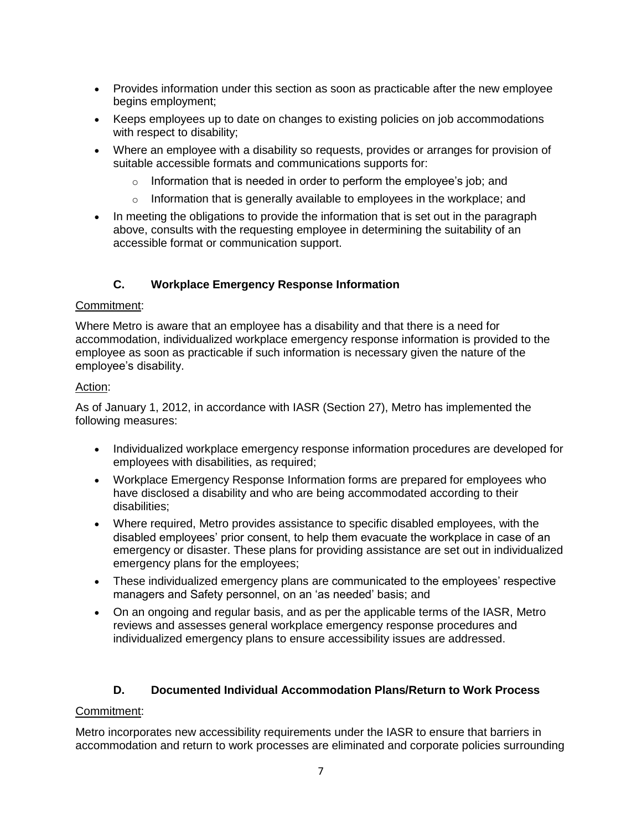- Provides information under this section as soon as practicable after the new employee begins employment;
- Keeps employees up to date on changes to existing policies on job accommodations with respect to disability;
- Where an employee with a disability so requests, provides or arranges for provision of suitable accessible formats and communications supports for:
	- $\circ$  Information that is needed in order to perform the employee's job; and
	- $\circ$  Information that is generally available to employees in the workplace; and
- In meeting the obligations to provide the information that is set out in the paragraph above, consults with the requesting employee in determining the suitability of an accessible format or communication support.

# **C. Workplace Emergency Response Information**

#### Commitment:

Where Metro is aware that an employee has a disability and that there is a need for accommodation, individualized workplace emergency response information is provided to the employee as soon as practicable if such information is necessary given the nature of the employee's disability.

#### Action:

As of January 1, 2012, in accordance with IASR (Section 27), Metro has implemented the following measures:

- Individualized workplace emergency response information procedures are developed for employees with disabilities, as required;
- Workplace Emergency Response Information forms are prepared for employees who have disclosed a disability and who are being accommodated according to their disabilities;
- Where required, Metro provides assistance to specific disabled employees, with the disabled employees' prior consent, to help them evacuate the workplace in case of an emergency or disaster. These plans for providing assistance are set out in individualized emergency plans for the employees;
- These individualized emergency plans are communicated to the employees' respective managers and Safety personnel, on an 'as needed' basis; and
- On an ongoing and regular basis, and as per the applicable terms of the IASR, Metro reviews and assesses general workplace emergency response procedures and individualized emergency plans to ensure accessibility issues are addressed.

# **D. Documented Individual Accommodation Plans/Return to Work Process**

#### Commitment:

Metro incorporates new accessibility requirements under the IASR to ensure that barriers in accommodation and return to work processes are eliminated and corporate policies surrounding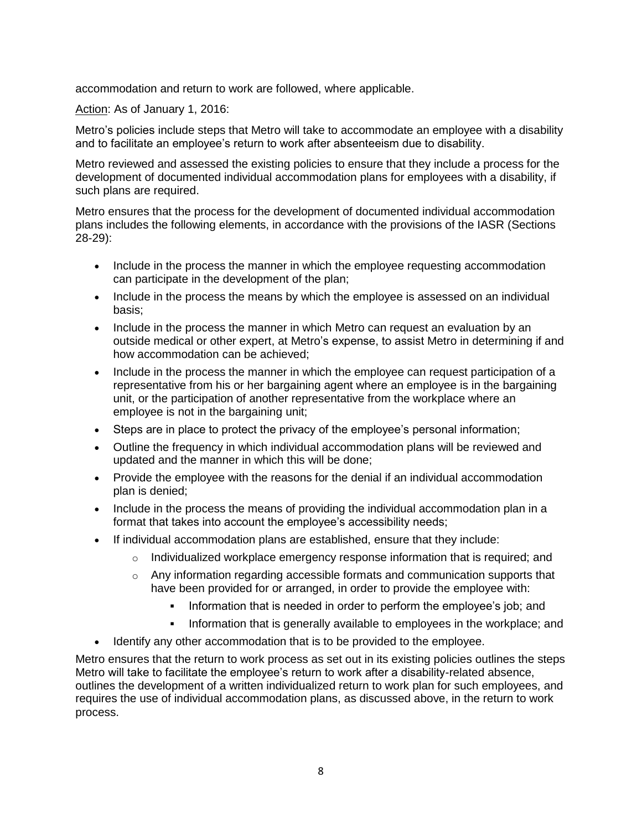accommodation and return to work are followed, where applicable.

Action: As of January 1, 2016:

Metro's policies include steps that Metro will take to accommodate an employee with a disability and to facilitate an employee's return to work after absenteeism due to disability.

Metro reviewed and assessed the existing policies to ensure that they include a process for the development of documented individual accommodation plans for employees with a disability, if such plans are required.

Metro ensures that the process for the development of documented individual accommodation plans includes the following elements, in accordance with the provisions of the IASR (Sections 28-29):

- Include in the process the manner in which the employee requesting accommodation can participate in the development of the plan;
- Include in the process the means by which the employee is assessed on an individual basis;
- Include in the process the manner in which Metro can request an evaluation by an outside medical or other expert, at Metro's expense, to assist Metro in determining if and how accommodation can be achieved;
- Include in the process the manner in which the employee can request participation of a representative from his or her bargaining agent where an employee is in the bargaining unit, or the participation of another representative from the workplace where an employee is not in the bargaining unit;
- Steps are in place to protect the privacy of the employee's personal information;
- Outline the frequency in which individual accommodation plans will be reviewed and updated and the manner in which this will be done;
- Provide the employee with the reasons for the denial if an individual accommodation plan is denied;
- Include in the process the means of providing the individual accommodation plan in a format that takes into account the employee's accessibility needs;
- If individual accommodation plans are established, ensure that they include:
	- o Individualized workplace emergency response information that is required; and
	- $\circ$  Any information regarding accessible formats and communication supports that have been provided for or arranged, in order to provide the employee with:
		- Information that is needed in order to perform the employee's job; and
		- Information that is generally available to employees in the workplace; and
- Identify any other accommodation that is to be provided to the employee.

Metro ensures that the return to work process as set out in its existing policies outlines the steps Metro will take to facilitate the employee's return to work after a disability-related absence, outlines the development of a written individualized return to work plan for such employees, and requires the use of individual accommodation plans, as discussed above, in the return to work process.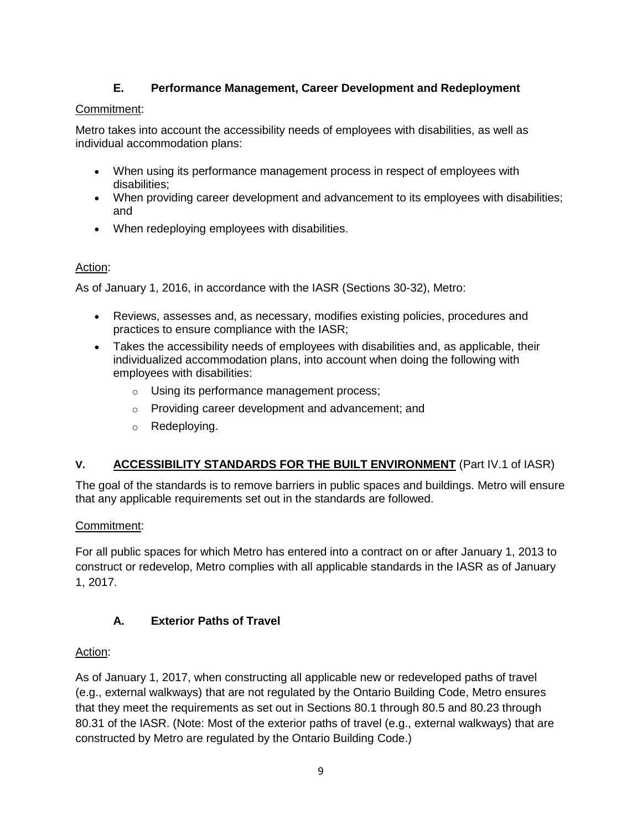# **E. Performance Management, Career Development and Redeployment**

# Commitment:

Metro takes into account the accessibility needs of employees with disabilities, as well as individual accommodation plans:

- When using its performance management process in respect of employees with disabilities;
- When providing career development and advancement to its employees with disabilities; and
- When redeploying employees with disabilities.

# Action:

As of January 1, 2016, in accordance with the IASR (Sections 30-32), Metro:

- Reviews, assesses and, as necessary, modifies existing policies, procedures and practices to ensure compliance with the IASR;
- Takes the accessibility needs of employees with disabilities and, as applicable, their individualized accommodation plans, into account when doing the following with employees with disabilities:
	- o Using its performance management process;
	- o Providing career development and advancement; and
	- o Redeploying.

# **V. ACCESSIBILITY STANDARDS FOR THE BUILT ENVIRONMENT** (Part IV.1 of IASR)

The goal of the standards is to remove barriers in public spaces and buildings. Metro will ensure that any applicable requirements set out in the standards are followed.

# Commitment:

For all public spaces for which Metro has entered into a contract on or after January 1, 2013 to construct or redevelop, Metro complies with all applicable standards in the IASR as of January 1, 2017.

# **A. Exterior Paths of Travel**

# Action:

As of January 1, 2017, when constructing all applicable new or redeveloped paths of travel (e.g., external walkways) that are not regulated by the Ontario Building Code, Metro ensures that they meet the requirements as set out in Sections 80.1 through 80.5 and 80.23 through 80.31 of the IASR. (Note: Most of the exterior paths of travel (e.g., external walkways) that are constructed by Metro are regulated by the Ontario Building Code.)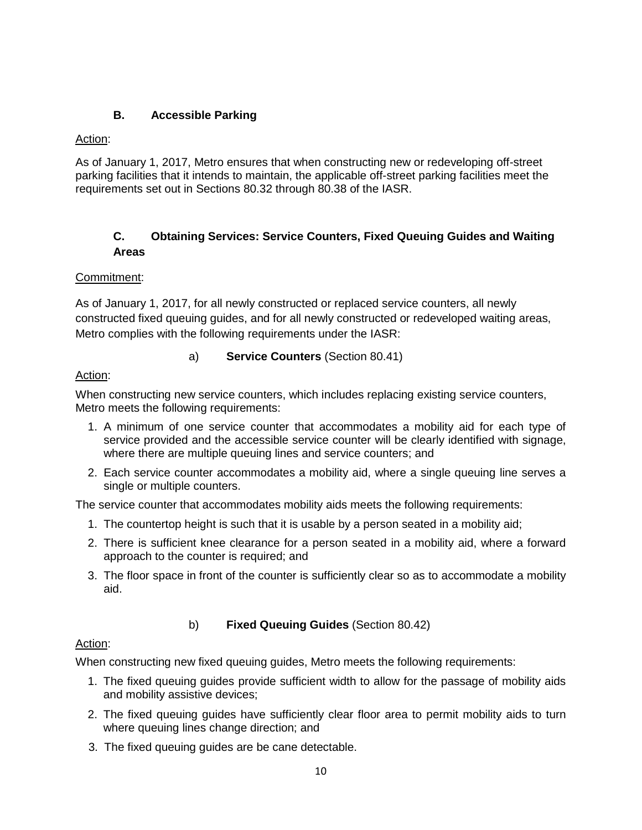# **B. Accessible Parking**

## Action:

As of January 1, 2017, Metro ensures that when constructing new or redeveloping off-street parking facilities that it intends to maintain, the applicable off-street parking facilities meet the requirements set out in Sections 80.32 through 80.38 of the IASR.

# **C. Obtaining Services: Service Counters, Fixed Queuing Guides and Waiting Areas**

## Commitment:

As of January 1, 2017, for all newly constructed or replaced service counters, all newly constructed fixed queuing guides, and for all newly constructed or redeveloped waiting areas, Metro complies with the following requirements under the IASR:

## a) **Service Counters** (Section 80.41)

# Action:

When constructing new service counters, which includes replacing existing service counters, Metro meets the following requirements:

- 1. A minimum of one service counter that accommodates a mobility aid for each type of service provided and the accessible service counter will be clearly identified with signage, where there are multiple queuing lines and service counters; and
- 2. Each service counter accommodates a mobility aid, where a single queuing line serves a single or multiple counters.

The service counter that accommodates mobility aids meets the following requirements:

- 1. The countertop height is such that it is usable by a person seated in a mobility aid;
- 2. There is sufficient knee clearance for a person seated in a mobility aid, where a forward approach to the counter is required; and
- 3. The floor space in front of the counter is sufficiently clear so as to accommodate a mobility aid.

# b) **Fixed Queuing Guides** (Section 80.42)

# Action:

When constructing new fixed queuing guides, Metro meets the following requirements:

- 1. The fixed queuing guides provide sufficient width to allow for the passage of mobility aids and mobility assistive devices;
- 2. The fixed queuing guides have sufficiently clear floor area to permit mobility aids to turn where queuing lines change direction; and
- 3. The fixed queuing guides are be cane detectable.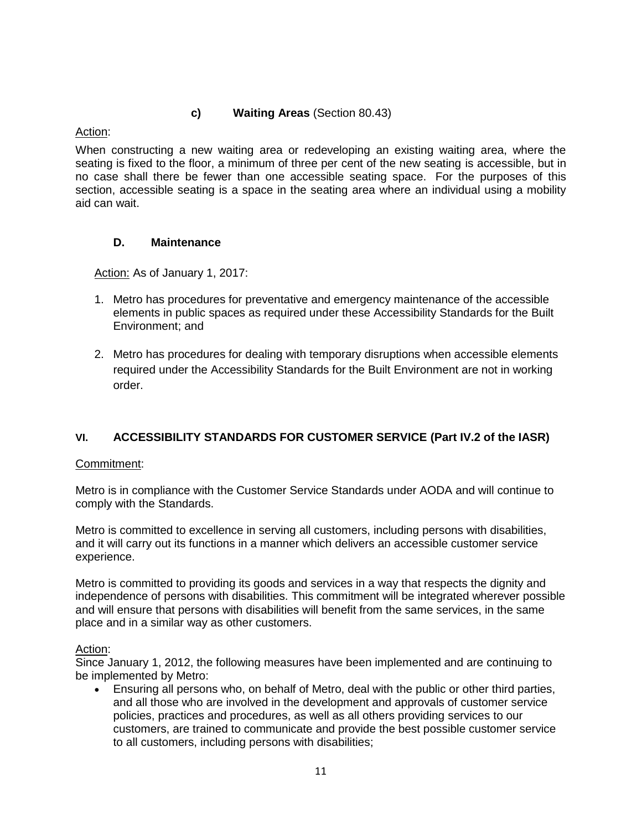#### **c) Waiting Areas** (Section 80.43)

## Action:

When constructing a new waiting area or redeveloping an existing waiting area, where the seating is fixed to the floor, a minimum of three per cent of the new seating is accessible, but in no case shall there be fewer than one accessible seating space. For the purposes of this section, accessible seating is a space in the seating area where an individual using a mobility aid can wait.

## **D. Maintenance**

Action: As of January 1, 2017:

- 1. Metro has procedures for preventative and emergency maintenance of the accessible elements in public spaces as required under these Accessibility Standards for the Built Environment; and
- 2. Metro has procedures for dealing with temporary disruptions when accessible elements required under the Accessibility Standards for the Built Environment are not in working order.

# **VI. ACCESSIBILITY STANDARDS FOR CUSTOMER SERVICE (Part IV.2 of the IASR)**

#### Commitment:

Metro is in compliance with the Customer Service Standards under AODA and will continue to comply with the Standards.

Metro is committed to excellence in serving all customers, including persons with disabilities, and it will carry out its functions in a manner which delivers an accessible customer service experience.

Metro is committed to providing its goods and services in a way that respects the dignity and independence of persons with disabilities. This commitment will be integrated wherever possible and will ensure that persons with disabilities will benefit from the same services, in the same place and in a similar way as other customers.

#### Action:

Since January 1, 2012, the following measures have been implemented and are continuing to be implemented by Metro:

 Ensuring all persons who, on behalf of Metro, deal with the public or other third parties, and all those who are involved in the development and approvals of customer service policies, practices and procedures, as well as all others providing services to our customers, are trained to communicate and provide the best possible customer service to all customers, including persons with disabilities;